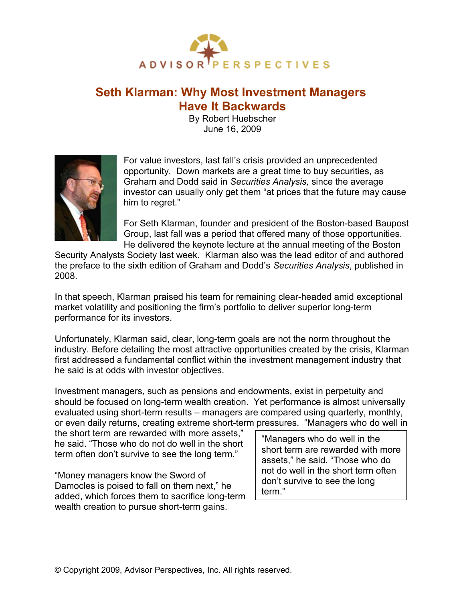

# **Seth Klarman: Why Most Investment Managers Have It Backwards**

By Robert Huebscher June 16, 2009



For value investors, last fall's crisis provided an unprecedented opportunity. Down markets are a great time to buy securities, as Graham and Dodd said in *Securities Analysis,* since the average investor can usually only get them "at prices that the future may cause him to regret."

For Seth Klarman, founder and president of the Boston-based Baupost Group, last fall was a period that offered many of those opportunities. He delivered the keynote lecture at the annual meeting of the Boston

Security Analysts Society last week. Klarman also was the lead editor of and authored the preface to the sixth edition of Graham and Dodd's *Securities Analysis*, published in 2008.

In that speech, Klarman praised his team for remaining clear-headed amid exceptional market volatility and positioning the firm's portfolio to deliver superior long-term performance for its investors.

Unfortunately, Klarman said, clear, long-term goals are not the norm throughout the industry. Before detailing the most attractive opportunities created by the crisis, Klarman first addressed a fundamental conflict within the investment management industry that he said is at odds with investor objectives.

Investment managers, such as pensions and endowments, exist in perpetuity and should be focused on long-term wealth creation. Yet performance is almost universally evaluated using short-term results – managers are compared using quarterly, monthly, or even daily returns, creating extreme short-term pressures. "Managers who do well in

the short term are rewarded with more assets," he said. "Those who do not do well in the short term often don't survive to see the long term."

"Money managers know the Sword of Damocles is poised to fall on them next," he added, which forces them to sacrifice long-term wealth creation to pursue short-term gains.

"Managers who do well in the short term are rewarded with more assets," he said. "Those who do not do well in the short term often don't survive to see the long term."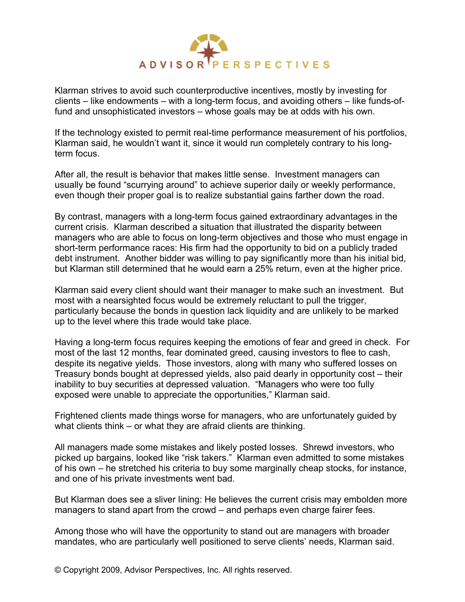

Klarman strives to avoid such counterproductive incentives, mostly by investing for clients – like endowments – with a long-term focus, and avoiding others – like funds-offund and unsophisticated investors – whose goals may be at odds with his own.

If the technology existed to permit real-time performance measurement of his portfolios, Klarman said, he wouldn't want it, since it would run completely contrary to his longterm focus.

After all, the result is behavior that makes little sense. Investment managers can usually be found "scurrying around" to achieve superior daily or weekly performance, even though their proper goal is to realize substantial gains farther down the road.

By contrast, managers with a long-term focus gained extraordinary advantages in the current crisis. Klarman described a situation that illustrated the disparity between managers who are able to focus on long-term objectives and those who must engage in short-term performance races: His firm had the opportunity to bid on a publicly traded debt instrument. Another bidder was willing to pay significantly more than his initial bid, but Klarman still determined that he would earn a 25% return, even at the higher price.

Klarman said every client should want their manager to make such an investment. But most with a nearsighted focus would be extremely reluctant to pull the trigger, particularly because the bonds in question lack liquidity and are unlikely to be marked up to the level where this trade would take place.

Having a long-term focus requires keeping the emotions of fear and greed in check. For most of the last 12 months, fear dominated greed, causing investors to flee to cash, despite its negative yields. Those investors, along with many who suffered losses on Treasury bonds bought at depressed yields, also paid dearly in opportunity cost – their inability to buy securities at depressed valuation. "Managers who were too fully exposed were unable to appreciate the opportunities," Klarman said.

Frightened clients made things worse for managers, who are unfortunately guided by what clients think – or what they are afraid clients are thinking.

All managers made some mistakes and likely posted losses. Shrewd investors, who picked up bargains, looked like "risk takers." Klarman even admitted to some mistakes of his own – he stretched his criteria to buy some marginally cheap stocks, for instance, and one of his private investments went bad.

But Klarman does see a sliver lining: He believes the current crisis may embolden more managers to stand apart from the crowd – and perhaps even charge fairer fees.

Among those who will have the opportunity to stand out are managers with broader mandates, who are particularly well positioned to serve clients' needs, Klarman said.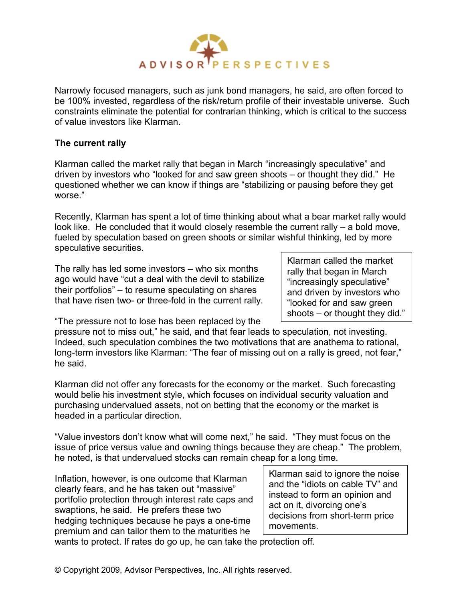

Narrowly focused managers, such as junk bond managers, he said, are often forced to be 100% invested, regardless of the risk/return profile of their investable universe. Such constraints eliminate the potential for contrarian thinking, which is critical to the success of value investors like Klarman.

## **The current rally**

Klarman called the market rally that began in March "increasingly speculative" and driven by investors who "looked for and saw green shoots – or thought they did." He questioned whether we can know if things are "stabilizing or pausing before they get worse."

Recently, Klarman has spent a lot of time thinking about what a bear market rally would look like. He concluded that it would closely resemble the current rally – a bold move, fueled by speculation based on green shoots or similar wishful thinking, led by more speculative securities.

The rally has led some investors – who six months ago would have "cut a deal with the devil to stabilize their portfolios" – to resume speculating on shares that have risen two- or three-fold in the current rally.

Klarman called the market rally that began in March "increasingly speculative" and driven by investors who "looked for and saw green shoots – or thought they did."

"The pressure not to lose has been replaced by the

pressure not to miss out," he said, and that fear leads to speculation, not investing. Indeed, such speculation combines the two motivations that are anathema to rational, long-term investors like Klarman: "The fear of missing out on a rally is greed, not fear," he said.

Klarman did not offer any forecasts for the economy or the market. Such forecasting would belie his investment style, which focuses on individual security valuation and purchasing undervalued assets, not on betting that the economy or the market is headed in a particular direction.

"Value investors don't know what will come next," he said. "They must focus on the issue of price versus value and owning things because they are cheap." The problem, he noted, is that undervalued stocks can remain cheap for a long time.

Inflation, however, is one outcome that Klarman clearly fears, and he has taken out "massive" portfolio protection through interest rate caps and swaptions, he said. He prefers these two hedging techniques because he pays a one-time premium and can tailor them to the maturities he

Klarman said to ignore the noise and the "idiots on cable TV" and instead to form an opinion and act on it, divorcing one's decisions from short-term price movements.

wants to protect. If rates do go up, he can take the protection off.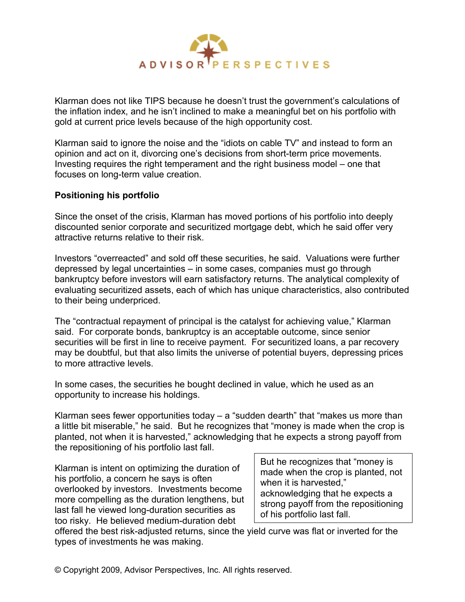

Klarman does not like TIPS because he doesn't trust the government's calculations of the inflation index, and he isn't inclined to make a meaningful bet on his portfolio with gold at current price levels because of the high opportunity cost.

Klarman said to ignore the noise and the "idiots on cable TV" and instead to form an opinion and act on it, divorcing one's decisions from short-term price movements. Investing requires the right temperament and the right business model – one that focuses on long-term value creation.

### **Positioning his portfolio**

Since the onset of the crisis, Klarman has moved portions of his portfolio into deeply discounted senior corporate and securitized mortgage debt, which he said offer very attractive returns relative to their risk.

Investors "overreacted" and sold off these securities, he said. Valuations were further depressed by legal uncertainties – in some cases, companies must go through bankruptcy before investors will earn satisfactory returns. The analytical complexity of evaluating securitized assets, each of which has unique characteristics, also contributed to their being underpriced.

The "contractual repayment of principal is the catalyst for achieving value," Klarman said. For corporate bonds, bankruptcy is an acceptable outcome, since senior securities will be first in line to receive payment. For securitized loans, a par recovery may be doubtful, but that also limits the universe of potential buyers, depressing prices to more attractive levels.

In some cases, the securities he bought declined in value, which he used as an opportunity to increase his holdings.

Klarman sees fewer opportunities today  $-$  a "sudden dearth" that "makes us more than a little bit miserable," he said. But he recognizes that "money is made when the crop is planted, not when it is harvested," acknowledging that he expects a strong payoff from the repositioning of his portfolio last fall.

Klarman is intent on optimizing the duration of his portfolio, a concern he says is often overlooked by investors. Investments become more compelling as the duration lengthens, but last fall he viewed long-duration securities as too risky. He believed medium-duration debt

But he recognizes that "money is made when the crop is planted, not when it is harvested," acknowledging that he expects a strong payoff from the repositioning of his portfolio last fall.

offered the best risk-adjusted returns, since the yield curve was flat or inverted for the types of investments he was making.